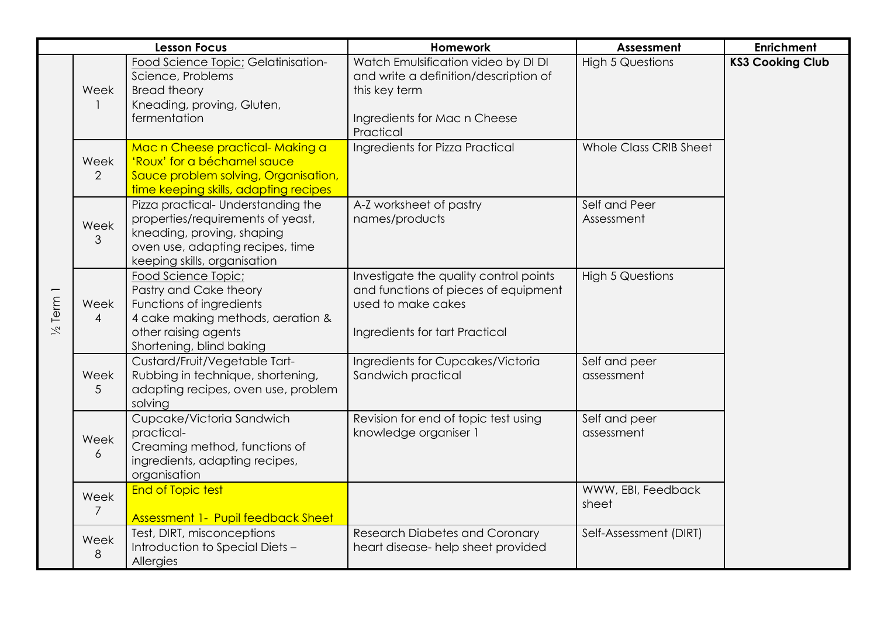| <b>Lesson Focus</b> |                        |                                                                                                                                                                           | Homework                                                                                                                                   | Assessment                  | <b>Enrichment</b>       |
|---------------------|------------------------|---------------------------------------------------------------------------------------------------------------------------------------------------------------------------|--------------------------------------------------------------------------------------------------------------------------------------------|-----------------------------|-------------------------|
| Term 1<br>$\geq$    | Week<br>1              | Food Science Topic; Gelatinisation-<br>Science, Problems<br><b>Bread theory</b><br>Kneading, proving, Gluten,<br>fermentation                                             | Watch Emulsification video by DI DI<br>and write a definition/description of<br>this key term<br>Ingredients for Mac n Cheese<br>Practical | <b>High 5 Questions</b>     | <b>KS3 Cooking Club</b> |
|                     | Week<br>$\overline{2}$ | Mac n Cheese practical- Making a<br>'Roux' for a béchamel sauce<br>Sauce problem solving, Organisation,<br>time keeping skills, adapting recipes                          | Ingredients for Pizza Practical                                                                                                            | Whole Class CRIB Sheet      |                         |
|                     | Week<br>3              | Pizza practical- Understanding the<br>properties/requirements of yeast,<br>kneading, proving, shaping<br>oven use, adapting recipes, time<br>keeping skills, organisation | A-Z worksheet of pastry<br>names/products                                                                                                  | Self and Peer<br>Assessment |                         |
|                     | Week<br>$\overline{4}$ | Food Science Topic;<br>Pastry and Cake theory<br>Functions of ingredients<br>4 cake making methods, aeration &<br>other raising agents<br>Shortening, blind baking        | Investigate the quality control points<br>and functions of pieces of equipment<br>used to make cakes<br>Ingredients for tart Practical     | <b>High 5 Questions</b>     |                         |
|                     | Week<br>5              | Custard/Fruit/Vegetable Tart-<br>Rubbing in technique, shortening,<br>adapting recipes, oven use, problem<br>solving                                                      | Ingredients for Cupcakes/Victoria<br>Sandwich practical                                                                                    | Self and peer<br>assessment |                         |
|                     | Week<br>6              | Cupcake/Victoria Sandwich<br>practical-<br>Creaming method, functions of<br>ingredients, adapting recipes,<br>organisation                                                | Revision for end of topic test using<br>knowledge organiser 1                                                                              | Self and peer<br>assessment |                         |
|                     | Week<br>7              | <b>End of Topic test</b><br><b>Assessment 1- Pupil feedback Sheet</b>                                                                                                     |                                                                                                                                            | WWW, EBI, Feedback<br>sheet |                         |
|                     | Week<br>8              | Test, DIRT, misconceptions<br>Introduction to Special Diets -<br>Allergies                                                                                                | <b>Research Diabetes and Coronary</b><br>heart disease- help sheet provided                                                                | Self-Assessment (DIRT)      |                         |